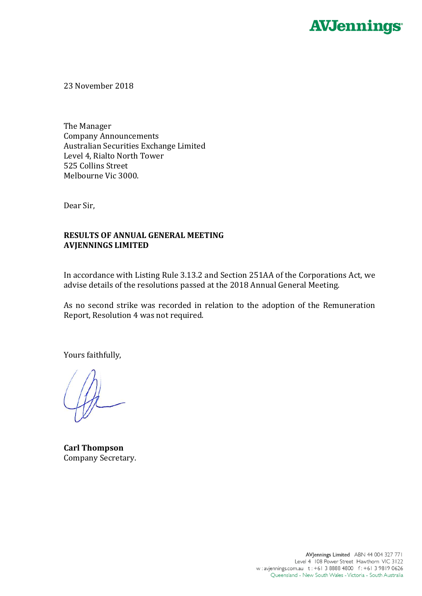

23 November 2018

The Manager Company Announcements Australian Securities Exchange Limited Level 4, Rialto North Tower 525 Collins Street Melbourne Vic 3000.

Dear Sir,

## **RESULTS OF ANNUAL GENERAL MEETING AVJENNINGS LIMITED**

In accordance with Listing Rule 3.13.2 and Section 251AA of the Corporations Act, we advise details of the resolutions passed at the 2018 Annual General Meeting.

As no second strike was recorded in relation to the adoption of the Remuneration Report, Resolution 4 was not required.

Yours faithfully,

**Carl Thompson** Company Secretary.